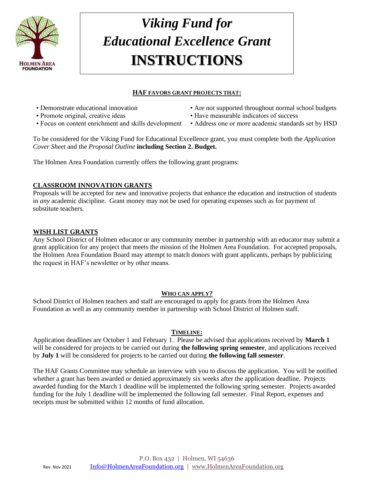

## *Viking Fund for Educational Excellence Grant* **INSTRUCTIONS**

#### **HAF FAVORS GRANT PROJECTS THAT:**

- 
- 
- Focus on content enrichment and skills development Address one or more academic standards set by HSD
- Demonstrate educational innovation Are not supported throughout normal school budgets
- Promote original, creative ideas Have measurable indicators of success
	-

To be considered for the Viking Fund for Educational Excellence grant, you must complete both the *Application Cover Sheet* and the *Proposal Outline* **including Section 2. Budget.** 

The Holmen Area Foundation currently offers the following grant programs:

#### **CLASSROOM INNOVATION GRANTS**

Proposals will be accepted for new and innovative projects that enhance the education and instruction of students in *any* academic discipline. Grant money may not be used for operating expenses such as for payment of substitute teachers.

#### **WISH LIST GRANTS**

Any School District of Holmen educator or any community member in partnership with an educator may submit a grant application for any project that meets the mission of the Holmen Area Foundation. For accepted proposals, the Holmen Area Foundation Board may attempt to match donors with grant applicants, perhaps by publicizing the request in HAF's newsletter or by other means.

#### **WHO CAN APPLY?**

School District of Holmen teachers and staff are encouraged to apply for grants from the Holmen Area Foundation as well as any community member in partnership with School District of Holmen staff.

#### **TIMELINE:**

Application deadlines are October 1 and February 1. Please be advised that applications received by **March 1**  will be considered for projects to be carried out during **the following spring semester**, and applications received by **July 1** will be considered for projects to be carried out during **the following fall semester**.

The HAF Grants Committee may schedule an interview with you to discuss the application. You will be notified whether a grant has been awarded or denied approximately six weeks after the application deadline. Projects awarded funding for the March 1 deadline will be implemented the following spring semester. Projects awarded funding for the July 1 deadline will be implemented the following fall semester. Final Report, expenses and receipts must be submitted within 12 months of fund allocation.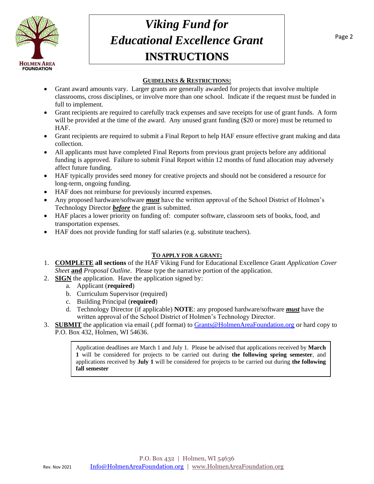

### *Viking Fund for Educational Excellence Grant* **INSTRUCTIONS**

#### **GUIDELINES & RESTRICTIONS:**

- Grant award amounts vary. Larger grants are generally awarded for projects that involve multiple classrooms, cross disciplines, or involve more than one school. Indicate if the request must be funded in full to implement.
- Grant recipients are required to carefully track expenses and save receipts for use of grant funds. A form will be provided at the time of the award. Any unused grant funding (\$20 or more) must be returned to HAF.
- Grant recipients are required to submit a Final Report to help HAF ensure effective grant making and data collection.
- All applicants must have completed Final Reports from previous grant projects before any additional funding is approved. Failure to submit Final Report within 12 months of fund allocation may adversely affect future funding.
- HAF typically provides seed money for creative projects and should not be considered a resource for long-term, ongoing funding.
- HAF does not reimburse for previously incurred expenses.
- Any proposed hardware/software *must* have the written approval of the School District of Holmen's Technology Director *before* the grant is submitted.
- HAF places a lower priority on funding of: computer software, classroom sets of books, food, and transportation expenses.
- HAF does not provide funding for staff salaries (e.g. substitute teachers).

#### **TO APPLY FOR A GRANT:**

- 1. **COMPLETE all sections** of the HAF Viking Fund for Educational Excellence Grant *Application Cover Sheet* **and** *Proposal Outline*. Please type the narrative portion of the application.
- 2. **SIGN** the application. Have the application signed by:
	- a. Applicant (**required**)
	- b. Curriculum Supervisor (required)
	- c. Building Principal (**required**)
	- d. Technology Director (if applicable) **NOTE**: any proposed hardware/software *must* have the written approval of the School District of Holmen's Technology Director.
- 3. **SUBMIT** the application via email (.pdf format) to [Grants@HolmenAreaFoundation.org](mailto:grants@holmenareafoundation.org) or hard copy to P.O. Box 432, Holmen, WI 54636.

Application deadlines are March 1 and July 1. Please be advised that applications received by **March 1** will be considered for projects to be carried out during **the following spring semester**, and applications received by **July 1** will be considered for projects to be carried out during **the following fall semester**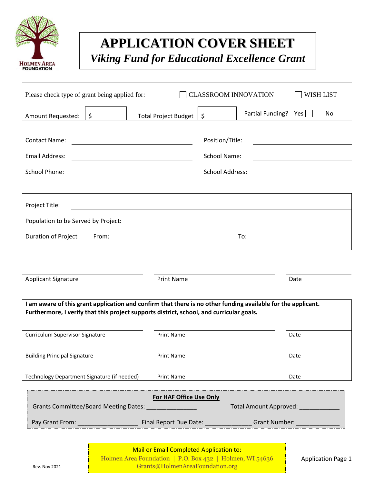

### **APPLICATION COVER SHEET**

*Viking Fund for Educational Excellence Grant*

| Please check type of grant being applied for:<br><b>CLASSROOM INNOVATION</b><br><b>WISH LIST</b>                                                                                                         |                                                                                                                       |                 |                                                   |      |                |  |
|----------------------------------------------------------------------------------------------------------------------------------------------------------------------------------------------------------|-----------------------------------------------------------------------------------------------------------------------|-----------------|---------------------------------------------------|------|----------------|--|
| \$<br>Amount Requested:                                                                                                                                                                                  | <b>Total Project Budget</b>                                                                                           | $\zeta$         | Partial Funding? Yes                              |      | N <sub>O</sub> |  |
| <b>Contact Name:</b>                                                                                                                                                                                     | <u> 1989 - Johann Barn, mars ann an t-Amhain Aonaich an t-Aonaich an t-Aonaich ann an t-Aonaich ann an t-Aonaich</u>  | Position/Title: |                                                   |      |                |  |
| <b>Email Address:</b><br>School Name:<br><u> 1989 - Johann Barn, mars eta bat erroman erroman erroman erroman erroman erroman erroman erroman erroman err</u>                                            |                                                                                                                       |                 | <u> 1989 - Johann Barbara, martxa alemaniar a</u> |      |                |  |
| <b>School Phone:</b><br>School Address:                                                                                                                                                                  |                                                                                                                       |                 |                                                   |      |                |  |
| Project Title:<br>Population to be Served by Project:                                                                                                                                                    | <u> 1980 - Johann Stoff, deutscher Stoff, der Stoff, der Stoff, der Stoff, der Stoff, der Stoff, der Stoff, der S</u> |                 |                                                   |      |                |  |
| Duration of Project<br>From:                                                                                                                                                                             |                                                                                                                       |                 | To:<br><u> 1989 - Johann Barbara, martxa a</u>    |      |                |  |
|                                                                                                                                                                                                          |                                                                                                                       |                 |                                                   |      |                |  |
| <b>Applicant Signature</b>                                                                                                                                                                               | <b>Print Name</b>                                                                                                     |                 |                                                   | Date |                |  |
| I am aware of this grant application and confirm that there is no other funding available for the applicant.<br>Furthermore, I verify that this project supports district, school, and curricular goals. |                                                                                                                       |                 |                                                   |      |                |  |
| <b>Curriculum Supervisor Signature</b>                                                                                                                                                                   | Print Name                                                                                                            |                 |                                                   | Date |                |  |
| <b>Building Principal Signature</b>                                                                                                                                                                      | Print Name                                                                                                            |                 |                                                   | Date |                |  |
| Technology Department Signature (if needed)                                                                                                                                                              | Print Name                                                                                                            |                 |                                                   | Date |                |  |
| For HAF Office Use Only<br>Grants Committee/Board Meeting Dates: [1983] [1983] [1983] [1983] [1983] [1983] [1983] [1983] [1984] [1983] [1                                                                |                                                                                                                       |                 |                                                   |      |                |  |
|                                                                                                                                                                                                          |                                                                                                                       |                 |                                                   |      |                |  |
|                                                                                                                                                                                                          |                                                                                                                       |                 |                                                   |      |                |  |

| <b>Mail or Email Completed Application to:</b>           |  |  |  |  |  |
|----------------------------------------------------------|--|--|--|--|--|
| Holmen Area Foundation   P.O. Box 432   Holmen, WI 54636 |  |  |  |  |  |
| Grants@HolmenAreaFoundation.org                          |  |  |  |  |  |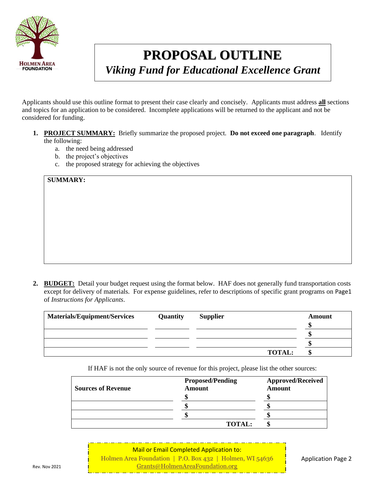

# **PROPOSAL OUTLINE**

*Viking Fund for Educational Excellence Grant*

Applicants should use this outline format to present their case clearly and concisely. Applicants must address **all** sections and topics for an application to be considered. Incomplete applications will be returned to the applicant and not be considered for funding.

- **1. PROJECT SUMMARY:** Briefly summarize the proposed project. **Do not exceed one paragraph**. Identify the following:
	- a. the need being addressed
	- b. the project's objectives
	- c. the proposed strategy for achieving the objectives

**SUMMARY:**

**2. BUDGET:** Detail your budget request using the format below. HAF does not generally fund transportation costs except for delivery of materials. For expense guidelines, refer to descriptions of specific grant programs on Page1 of *Instructions for Applicants*.

| <b>Materials/Equipment/Services</b> | <b>Quantity</b> | <b>Supplier</b> | Amount |
|-------------------------------------|-----------------|-----------------|--------|
|                                     |                 |                 |        |
|                                     |                 |                 |        |
|                                     |                 |                 |        |
|                                     |                 | <b>TOTAL:</b>   |        |

If HAF is not the only source of revenue for this project, please list the other sources:

| <b>Sources of Revenue</b> | <b>Proposed/Pending</b><br><b>Amount</b> | <b>Approved/Received</b><br>Amount |  |
|---------------------------|------------------------------------------|------------------------------------|--|
|                           |                                          |                                    |  |
|                           |                                          |                                    |  |
|                           |                                          |                                    |  |
|                           | <b>TOTAL:</b>                            |                                    |  |